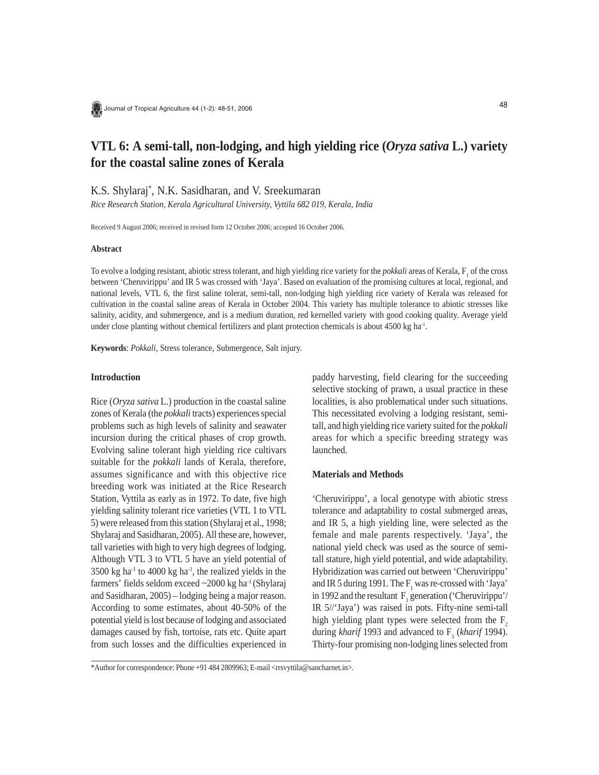# **VTL 6: A semi-tall, non-lodging, and high yielding rice (***Oryza sativa* **L.) variety for the coastal saline zones of Kerala**

K.S. Shylaraj\* , N.K. Sasidharan, and V. Sreekumaran

*Rice Research Station, Kerala Agricultural University, Vyttila 682 019, Kerala, India*

Received 9 August 2006; received in revised form 12 October 2006; accepted 16 October 2006.

# **Abstract**

To evolve a lodging resistant, abiotic stress tolerant, and high yielding rice variety for the *pokkali* areas of Kerala,  $F_1$  of the cross between 'Cheruvirippu' and IR 5 was crossed with 'Jaya'. Based on evaluation of the promising cultures at local, regional, and national levels, VTL 6, the first saline tolerat, semi-tall, non-lodging high yielding rice variety of Kerala was released for cultivation in the coastal saline areas of Kerala in October 2004. This variety has multiple tolerance to abiotic stresses like salinity, acidity, and submergence, and is a medium duration, red kernelled variety with good cooking quality. Average yield under close planting without chemical fertilizers and plant protection chemicals is about 4500 kg ha<sup>-1</sup>.

**Keywords**: *Pokkali*, Stress tolerance, Submergence, Salt injury.

### **Introduction**

Rice (*Oryza sativa* L.) production in the coastal saline zones of Kerala (the *pokkali* tracts) experiences special problems such as high levels of salinity and seawater incursion during the critical phases of crop growth. Evolving saline tolerant high yielding rice cultivars suitable for the *pokkali* lands of Kerala, therefore, assumes significance and with this objective rice breeding work was initiated at the Rice Research Station, Vyttila as early as in 1972. To date, five high yielding salinity tolerant rice varieties (VTL 1 to VTL 5) were released from this station (Shylaraj et al., 1998; Shylaraj and Sasidharan, 2005). All these are, however, tall varieties with high to very high degrees of lodging. Although VTL 3 to VTL 5 have an yield potential of  $3500 \text{ kg}$  ha<sup>-1</sup> to 4000 kg ha<sup>-1</sup>, the realized yields in the farmers' fields seldom exceed  $\sim$ 2000 kg ha<sup>-1</sup> (Shylaraj and Sasidharan, 2005) – lodging being a major reason. According to some estimates, about 40-50% of the potential yield is lost because of lodging and associated damages caused by fish, tortoise, rats etc. Quite apart from such losses and the difficulties experienced in paddy harvesting, field clearing for the succeeding selective stocking of prawn, a usual practice in these localities, is also problematical under such situations. This necessitated evolving a lodging resistant, semitall, and high yielding rice variety suited for the *pokkali* areas for which a specific breeding strategy was launched.

## **Materials and Methods**

'Cheruvirippu', a local genotype with abiotic stress tolerance and adaptability to costal submerged areas, and IR 5, a high yielding line, were selected as the female and male parents respectively. 'Jaya', the national yield check was used as the source of semitall stature, high yield potential, and wide adaptability. Hybridization was carried out between 'Cheruvirippu' and IR 5 during 1991. The  $F_1$  was re-crossed with 'Jaya' in 1992 and the resultant  $F_1$  generation ('Cheruvirippu'/ IR 5//'Jaya') was raised in pots. Fifty-nine semi-tall high yielding plant types were selected from the  $F<sub>2</sub>$ during *kharif* 1993 and advanced to  $F_3$  (*kharif* 1994). Thirty-four promising non-lodging lines selected from

<sup>\*</sup>Author for correspondence: Phone +91 484 2809963; E-mail <rrsvyttila@sancharnet.in>.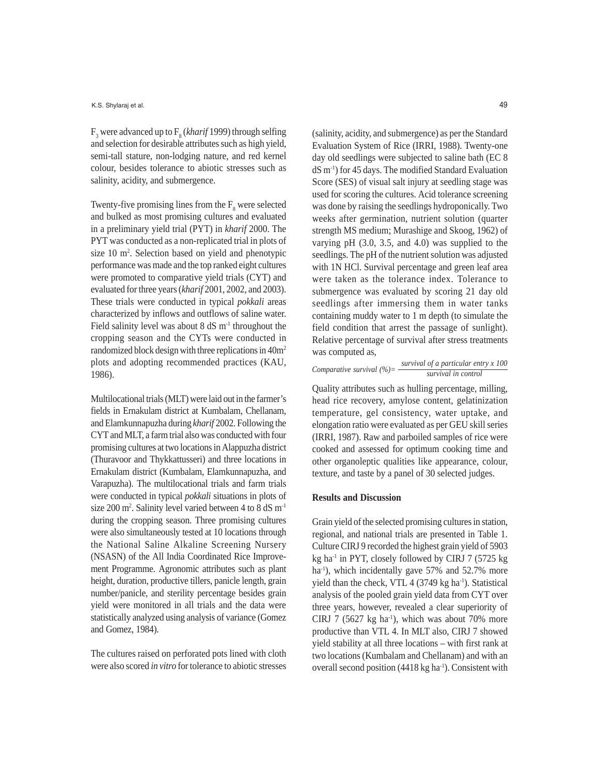F<sub>3</sub> were advanced up to F<sub>8</sub> (*kharif* 1999) through selfing and selection for desirable attributes such as high yield, semi-tall stature, non-lodging nature, and red kernel colour, besides tolerance to abiotic stresses such as salinity, acidity, and submergence.

Twenty-five promising lines from the  $F_8$  were selected and bulked as most promising cultures and evaluated in a preliminary yield trial (PYT) in *kharif* 2000. The PYT was conducted as a non-replicated trial in plots of size  $10 \text{ m}^2$ . Selection based on yield and phenotypic performance was made and the top ranked eight cultures were promoted to comparative yield trials (CYT) and evaluated for three years (*kharif* 2001, 2002, and 2003). These trials were conducted in typical *pokkali* areas characterized by inflows and outflows of saline water. Field salinity level was about 8  $dS$  m<sup>-1</sup> throughout the cropping season and the CYTs were conducted in randomized block design with three replications in 40m2 plots and adopting recommended practices (KAU, 1986).

Multilocational trials (MLT) were laid out in the farmer's fields in Ernakulam district at Kumbalam, Chellanam, and Elamkunnapuzha during *kharif* 2002. Following the CYT and MLT, a farm trial also was conducted with four promising cultures at two locations in Alappuzha district (Thuravoor and Thykkattusseri) and three locations in Ernakulam district (Kumbalam, Elamkunnapuzha, and Varapuzha). The multilocational trials and farm trials were conducted in typical *pokkali* situations in plots of size 200 m<sup>2</sup>. Salinity level varied between 4 to 8 dS m<sup>-1</sup> during the cropping season. Three promising cultures were also simultaneously tested at 10 locations through the National Saline Alkaline Screening Nursery (NSASN) of the All India Coordinated Rice Improvement Programme. Agronomic attributes such as plant height, duration, productive tillers, panicle length, grain number/panicle, and sterility percentage besides grain yield were monitored in all trials and the data were statistically analyzed using analysis of variance (Gomez and Gomez, 1984).

The cultures raised on perforated pots lined with cloth were also scored *in vitro* for tolerance to abiotic stresses 49

(salinity, acidity, and submergence) as per the Standard Evaluation System of Rice (IRRI, 1988). Twenty-one day old seedlings were subjected to saline bath (EC 8 dS m-1) for 45 days. The modified Standard Evaluation Score (SES) of visual salt injury at seedling stage was used for scoring the cultures. Acid tolerance screening was done by raising the seedlings hydroponically. Two weeks after germination, nutrient solution (quarter strength MS medium; Murashige and Skoog, 1962) of varying pH (3.0, 3.5, and 4.0) was supplied to the seedlings. The pH of the nutrient solution was adjusted with 1N HCl. Survival percentage and green leaf area were taken as the tolerance index. Tolerance to submergence was evaluated by scoring 21 day old seedlings after immersing them in water tanks containing muddy water to 1 m depth (to simulate the field condition that arrest the passage of sunlight). Relative percentage of survival after stress treatments was computed as,

| Comparative survival $(\%)=$ |  | survival of a particular entry x 100 |
|------------------------------|--|--------------------------------------|
|                              |  | survival in control                  |

Quality attributes such as hulling percentage, milling, head rice recovery, amylose content, gelatinization temperature, gel consistency, water uptake, and elongation ratio were evaluated as per GEU skill series (IRRI, 1987). Raw and parboiled samples of rice were cooked and assessed for optimum cooking time and other organoleptic qualities like appearance, colour, texture, and taste by a panel of 30 selected judges.

#### **Results and Discussion**

Grain yield of the selected promising cultures in station, regional, and national trials are presented in Table 1. Culture CIRJ 9 recorded the highest grain yield of 5903 kg ha<sup>-1</sup> in PYT, closely followed by CIRJ 7 (5725 kg ha<sup>-1</sup>), which incidentally gave 57% and 52.7% more yield than the check, VTL 4 (3749 kg ha<sup>-1</sup>). Statistical analysis of the pooled grain yield data from CYT over three years, however, revealed a clear superiority of CIRJ 7 (5627 kg ha<sup>-1</sup>), which was about 70% more productive than VTL 4. In MLT also, CIRJ 7 showed yield stability at all three locations – with first rank at two locations (Kumbalam and Chellanam) and with an overall second position (4418 kg ha<sup>-1</sup>). Consistent with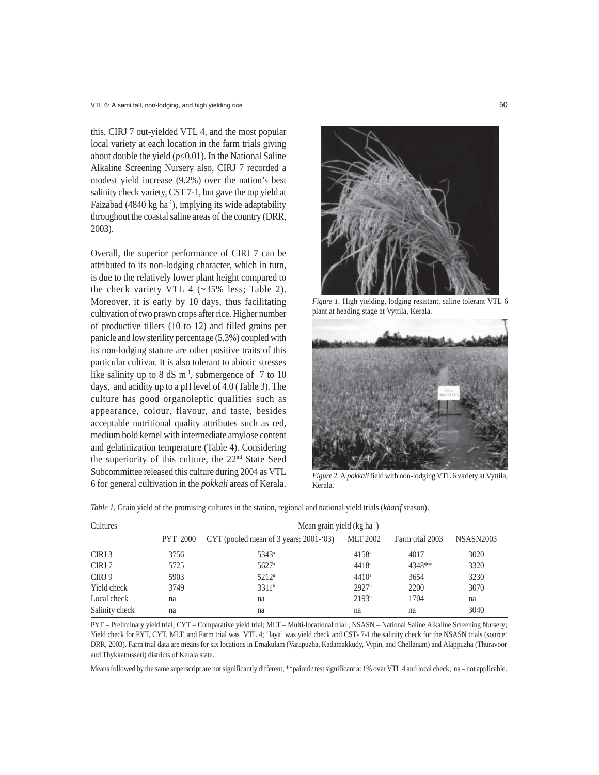this, CIRJ 7 out-yielded VTL 4, and the most popular local variety at each location in the farm trials giving about double the yield  $(p<0.01)$ . In the National Saline Alkaline Screening Nursery also, CIRJ 7 recorded a modest yield increase (9.2%) over the nation's best salinity check variety, CST 7-1, but gave the top yield at Faizabad (4840 kg ha<sup>-1</sup>), implying its wide adaptability throughout the coastal saline areas of the country (DRR, 2003).

Overall, the superior performance of CIRJ 7 can be attributed to its non-lodging character, which in turn, is due to the relatively lower plant height compared to the check variety VTL 4 (~35% less; Table 2). Moreover, it is early by 10 days, thus facilitating cultivation of two prawn crops after rice. Higher number of productive tillers (10 to 12) and filled grains per panicle and low sterility percentage (5.3%) coupled with its non-lodging stature are other positive traits of this particular cultivar. It is also tolerant to abiotic stresses like salinity up to 8 dS  $\mathrm{m}^1$ , submergence of 7 to 10 days, and acidity up to a pH level of 4.0 (Table 3). The culture has good organoleptic qualities such as appearance, colour, flavour, and taste, besides acceptable nutritional quality attributes such as red, medium bold kernel with intermediate amylose content and gelatinization temperature (Table 4). Considering the superiority of this culture, the 22nd State Seed Subcommittee released this culture during 2004 as VTL 6 for general cultivation in the *pokkali* areas of Kerala.



*Figure 1.* High yielding, lodging resistant, saline tolerant VTL 6 plant at heading stage at Vyttila, Kerala.



*Figure 2.* A *pokkali* field with non-lodging VTL 6 variety at Vyttila, Kerala.

|  | <i>Table 1.</i> Grain yield of the promising cultures in the station, regional and national yield trials (kharif season). |  |  |  |
|--|---------------------------------------------------------------------------------------------------------------------------|--|--|--|
|  |                                                                                                                           |  |  |  |

| Cultures       | Mean grain yield $(kg ha-1)$ |                                            |                   |                 |                  |  |  |
|----------------|------------------------------|--------------------------------------------|-------------------|-----------------|------------------|--|--|
|                | <b>PYT 2000</b>              | CYT (pooled mean of 3 years: $2001-(03)$ ) | <b>MLT 2002</b>   | Farm trial 2003 | <b>NSASN2003</b> |  |  |
| CIRJ 3         | 3756                         | $5343^{\circ}$                             | $4158^{\circ}$    | 4017            | 3020             |  |  |
| CIRJ 7         | 5725                         | $5627$ <sup>a</sup>                        | $4418^a$          | 4348**          | 3320             |  |  |
| CIRJ 9         | 5903                         | $5212^{\circ}$                             | $4410^a$          | 3654            | 3230             |  |  |
| Yield check    | 3749                         | 3311 <sup>b</sup>                          | 2927 <sup>b</sup> | 2200            | 3070             |  |  |
| Local check    | na                           | na                                         | 2193 <sup>b</sup> | 1704            | na               |  |  |
| Salinity check | na                           | na                                         | na                | na              | 3040             |  |  |

PYT – Preliminary yield trial; CYT – Comparative yield trial; MLT – Multi-locational trial ; NSASN – National Saline Alkaline Screening Nursery; Yield check for PYT, CYT, MLT, and Farm trial was VTL 4; 'Jaya' was yield check and CST- 7-1 the salinity check for the NSASN trials (source: DRR, 2003). Farm trial data are means for six locations in Ernakulam (Varapuzha, Kadamakkudy, Vypin, and Chellanam) and Alappuzha (Thuravoor and Thykkattusseri) districts of Kerala state.

Means followed by the same superscript are not significantly different; \*\*paired *t* test significant at 1% over VTL 4 and local check; na – not applicable.